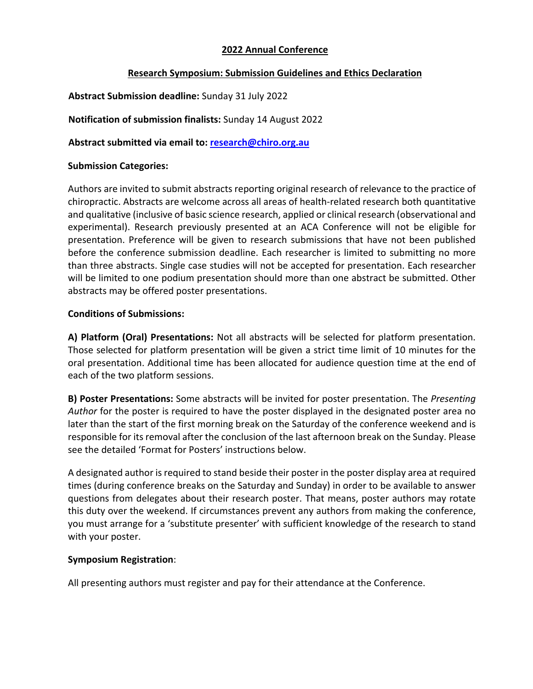# **2022 Annual Conference**

## **Research Symposium: Submission Guidelines and Ethics Declaration**

**Abstract Submission deadline:** Sunday 31 July 2022

**Notification of submission finalists:** Sunday 14 August 2022

**Abstract submitted via email to: [research@chiro.org.au](mailto:research@chiro.org.au)**

## **Submission Categories:**

Authors are invited to submit abstracts reporting original research of relevance to the practice of chiropractic. Abstracts are welcome across all areas of health-related research both quantitative and qualitative (inclusive of basic science research, applied or clinical research (observational and experimental). Research previously presented at an ACA Conference will not be eligible for presentation. Preference will be given to research submissions that have not been published before the conference submission deadline. Each researcher is limited to submitting no more than three abstracts. Single case studies will not be accepted for presentation. Each researcher will be limited to one podium presentation should more than one abstract be submitted. Other abstracts may be offered poster presentations.

# **Conditions of Submissions:**

**A) Platform (Oral) Presentations:** Not all abstracts will be selected for platform presentation. Those selected for platform presentation will be given a strict time limit of 10 minutes for the oral presentation. Additional time has been allocated for audience question time at the end of each of the two platform sessions.

**B) Poster Presentations:** Some abstracts will be invited for poster presentation. The *Presenting Author* for the poster is required to have the poster displayed in the designated poster area no later than the start of the first morning break on the Saturday of the conference weekend and is responsible for its removal after the conclusion of the last afternoon break on the Sunday. Please see the detailed 'Format for Posters' instructions below.

A designated author is required to stand beside their poster in the poster display area at required times (during conference breaks on the Saturday and Sunday) in order to be available to answer questions from delegates about their research poster. That means, poster authors may rotate this duty over the weekend. If circumstances prevent any authors from making the conference, you must arrange for a 'substitute presenter' with sufficient knowledge of the research to stand with your poster.

#### **Symposium Registration**:

All presenting authors must register and pay for their attendance at the Conference.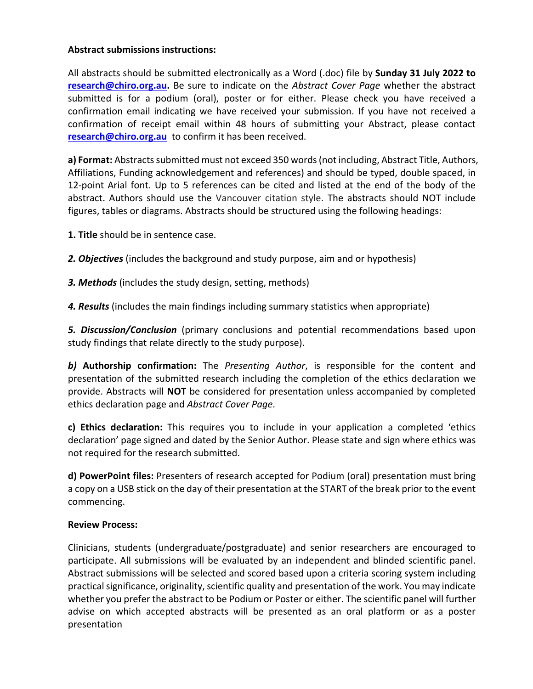#### **Abstract submissions instructions:**

All abstracts should be submitted electronically as a Word (.doc) file by **Sunday 31 July 2022 to [research@chiro.org.au.](mailto:research@chiro.org.au)** Be sure to indicate on the *Abstract Cover Page* whether the abstract submitted is for a podium (oral), poster or for either. Please check you have received a confirmation email indicating we have received your submission. If you have not received a confirmation of receipt email within 48 hours of submitting your Abstract, please contact **[research@chiro.org.au](mailto:research@chiro.org.au)** to confirm it has been received.

a) Format: Abstracts submitted must not exceed 350 words (not including, Abstract Title, Authors, Affiliations, Funding acknowledgement and references) and should be typed, double spaced, in 12-point Arial font. Up to 5 references can be cited and listed at the end of the body of the abstract. Authors should use the Vancouver citation style. The abstracts should NOT include figures, tables or diagrams. Abstracts should be structured using the following headings:

**1. Title** should be in sentence case.

**2. Objectives** (includes the background and study purpose, aim and or hypothesis)

*3. Methods* (includes the study design, setting, methods)

*4. Results* (includes the main findings including summary statistics when appropriate)

*5. Discussion/Conclusion* (primary conclusions and potential recommendations based upon study findings that relate directly to the study purpose).

*b)* **Authorship confirmation:** The *Presenting Author*, is responsible for the content and presentation of the submitted research including the completion of the ethics declaration we provide. Abstracts will **NOT** be considered for presentation unless accompanied by completed ethics declaration page and *Abstract Cover Page*.

**c) Ethics declaration:** This requires you to include in your application a completed 'ethics declaration' page signed and dated by the Senior Author. Please state and sign where ethics was not required for the research submitted.

**d) PowerPoint files:** Presenters of research accepted for Podium (oral) presentation must bring a copy on a USB stick on the day of their presentation at the START of the break prior to the event commencing.

#### **Review Process:**

Clinicians, students (undergraduate/postgraduate) and senior researchers are encouraged to participate. All submissions will be evaluated by an independent and blinded scientific panel. Abstract submissions will be selected and scored based upon a criteria scoring system including practical significance, originality, scientific quality and presentation of the work. You may indicate whether you prefer the abstract to be Podium or Poster or either. The scientific panel will further advise on which accepted abstracts will be presented as an oral platform or as a poster presentation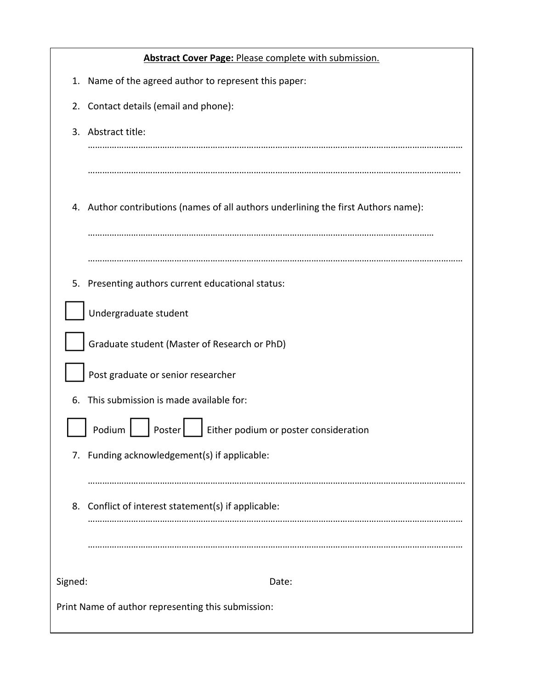| <b>Abstract Cover Page: Please complete with submission.</b> |                                                                                    |
|--------------------------------------------------------------|------------------------------------------------------------------------------------|
| 1.                                                           | Name of the agreed author to represent this paper:                                 |
| 2.                                                           | Contact details (email and phone):                                                 |
| 3.                                                           | Abstract title:                                                                    |
|                                                              |                                                                                    |
|                                                              |                                                                                    |
|                                                              | 4. Author contributions (names of all authors underlining the first Authors name): |
|                                                              |                                                                                    |
|                                                              |                                                                                    |
| 5.                                                           | Presenting authors current educational status:                                     |
|                                                              | Undergraduate student                                                              |
|                                                              | Graduate student (Master of Research or PhD)                                       |
|                                                              | Post graduate or senior researcher                                                 |
| 6.                                                           | This submission is made available for:                                             |
|                                                              | Either podium or poster consideration<br>Podium<br>Poster                          |
|                                                              | 7. Funding acknowledgement(s) if applicable:                                       |
|                                                              |                                                                                    |
|                                                              | 8. Conflict of interest statement(s) if applicable:                                |
|                                                              |                                                                                    |
|                                                              |                                                                                    |
| Signed:                                                      | Date:                                                                              |
| Print Name of author representing this submission:           |                                                                                    |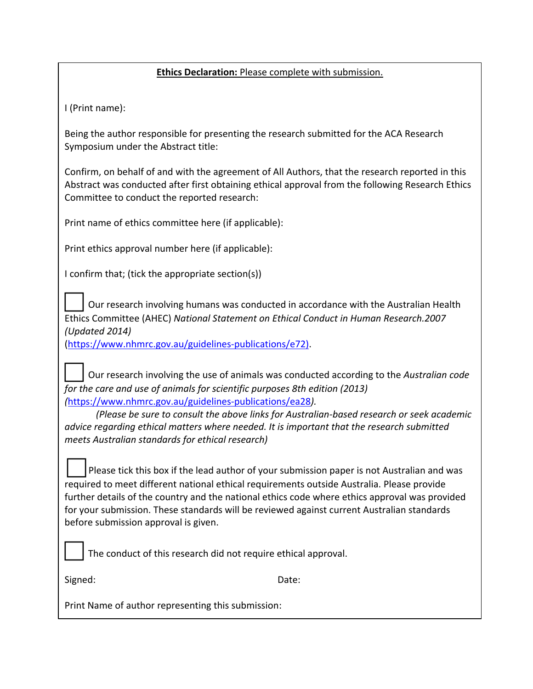# **Ethics Declaration:** Please complete with submission.

I (Print name):

Being the author responsible for presenting the research submitted for the ACA Research Symposium under the Abstract title:

Confirm, on behalf of and with the agreement of All Authors, that the research reported in this Abstract was conducted after first obtaining ethical approval from the following Research Ethics Committee to conduct the reported research:

Print name of ethics committee here (if applicable):

Print ethics approval number here (if applicable):

I confirm that; (tick the appropriate section(s))

 Our research involving humans was conducted in accordance with the Australian Health Ethics Committee (AHEC) *National Statement on Ethical Conduct in Human Research.2007 (Updated 2014)*

[\(https://www.nhmrc.gov.au/guidelines-publications/e72\).](https://www.nhmrc.gov.au/guidelines-publications/e72))

 Our research involving the use of animals was conducted according to the *Australian code for the care and use of animals for scientific purposes 8th edition (2013) (*<https://www.nhmrc.gov.au/guidelines-publications/ea28>*).*

*(Please be sure to consult the above links for Australian-based research or seek academic advice regarding ethical matters where needed. It is important that the research submitted meets Australian standards for ethical research)*

Please tick this box if the lead author of your submission paper is not Australian and was required to meet different national ethical requirements outside Australia. Please provide further details of the country and the national ethics code where ethics approval was provided for your submission. These standards will be reviewed against current Australian standards before submission approval is given.

The conduct of this research did not require ethical approval.

Signed: Date:

Print Name of author representing this submission: